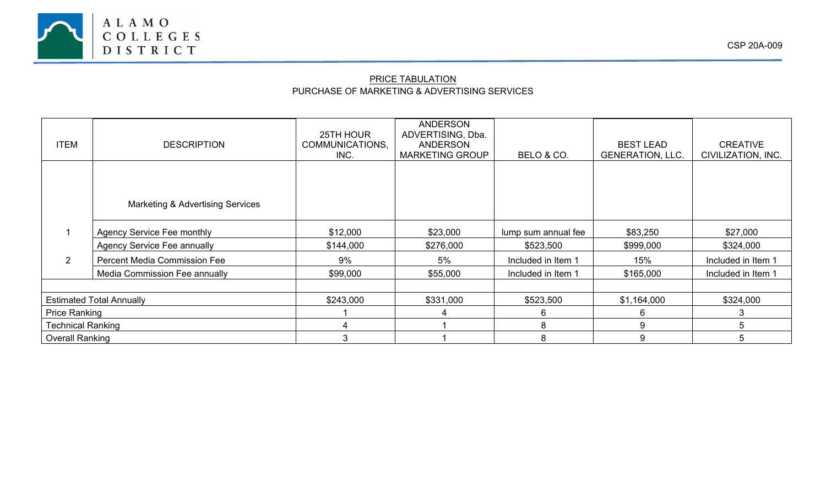

## PRICE TABULATION PURCHASE OF MARKETING & ADVERTISING SERVICES

| <b>ITEM</b>                     | <b>DESCRIPTION</b>                          | 25TH HOUR<br>COMMUNICATIONS,<br>INC. | <b>ANDERSON</b><br>ADVERTISING, Dba.<br><b>ANDERSON</b><br><b>MARKETING GROUP</b> | BELO & CO.          | <b>BEST LEAD</b><br><b>GENERATION, LLC.</b> | <b>CREATIVE</b><br>CIVILIZATION, INC. |
|---------------------------------|---------------------------------------------|--------------------------------------|-----------------------------------------------------------------------------------|---------------------|---------------------------------------------|---------------------------------------|
|                                 |                                             |                                      |                                                                                   |                     |                                             |                                       |
|                                 |                                             |                                      |                                                                                   |                     |                                             |                                       |
|                                 | <b>Marketing &amp; Advertising Services</b> |                                      |                                                                                   |                     |                                             |                                       |
|                                 | <b>Agency Service Fee monthly</b>           | \$12,000                             | \$23,000                                                                          | lump sum annual fee | \$83,250                                    | \$27,000                              |
|                                 | <b>Agency Service Fee annually</b>          | \$144,000                            | \$276,000                                                                         | \$523,500           | \$999,000                                   | \$324,000                             |
| $\overline{2}$                  | <b>Percent Media Commission Fee</b>         | 9%                                   | 5%                                                                                | Included in Item 1  | 15%                                         | Included in Item 1                    |
|                                 | Media Commission Fee annually               | \$99,000                             | \$55,000                                                                          | Included in Item 1  | \$165,000                                   | Included in Item 1                    |
|                                 |                                             |                                      |                                                                                   |                     |                                             |                                       |
| <b>Estimated Total Annually</b> |                                             | \$243,000                            | \$331,000                                                                         | \$523,500           | \$1,164,000                                 | \$324,000                             |
| <b>Price Ranking</b>            |                                             |                                      |                                                                                   | 6                   | 6                                           | 3.                                    |
| <b>Technical Ranking</b>        |                                             | 4                                    |                                                                                   | 8                   | 9                                           | 5                                     |
| <b>Overall Ranking</b>          |                                             | 3                                    |                                                                                   | 8                   | 9                                           |                                       |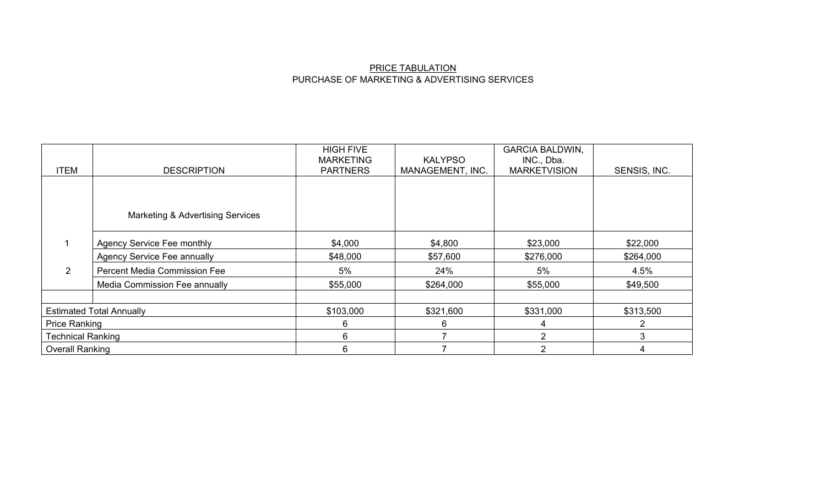## PRICE TABULATION PURCHASE OF MARKETING & ADVERTISING SERVICES

|                                 |                                             | <b>HIGH FIVE</b><br><b>MARKETING</b> | <b>KALYPSO</b>   | <b>GARCIA BALDWIN,</b><br>INC., Dba. |              |
|---------------------------------|---------------------------------------------|--------------------------------------|------------------|--------------------------------------|--------------|
| <b>ITEM</b>                     | <b>DESCRIPTION</b>                          | <b>PARTNERS</b>                      | MANAGEMENT, INC. | <b>MARKETVISION</b>                  | SENSIS, INC. |
|                                 |                                             |                                      |                  |                                      |              |
|                                 |                                             |                                      |                  |                                      |              |
|                                 | <b>Marketing &amp; Advertising Services</b> |                                      |                  |                                      |              |
|                                 | <b>Agency Service Fee monthly</b>           | \$4,000                              | \$4,800          | \$23,000                             | \$22,000     |
|                                 | <b>Agency Service Fee annually</b>          | \$48,000                             | \$57,600         | \$276,000                            | \$264,000    |
| 2                               | <b>Percent Media Commission Fee</b>         | 5%                                   | 24%              | 5%                                   | 4.5%         |
|                                 | Media Commission Fee annually               | \$55,000                             | \$264,000        | \$55,000                             | \$49,500     |
|                                 |                                             |                                      |                  |                                      |              |
| <b>Estimated Total Annually</b> |                                             | \$103,000                            | \$321,600        | \$331,000                            | \$313,500    |
| <b>Price Ranking</b>            |                                             | 6                                    | 6                | 4                                    | 2            |
| <b>Technical Ranking</b>        |                                             | 6                                    |                  | າ                                    |              |
| <b>Overall Ranking</b>          |                                             | 6                                    |                  | 2                                    |              |